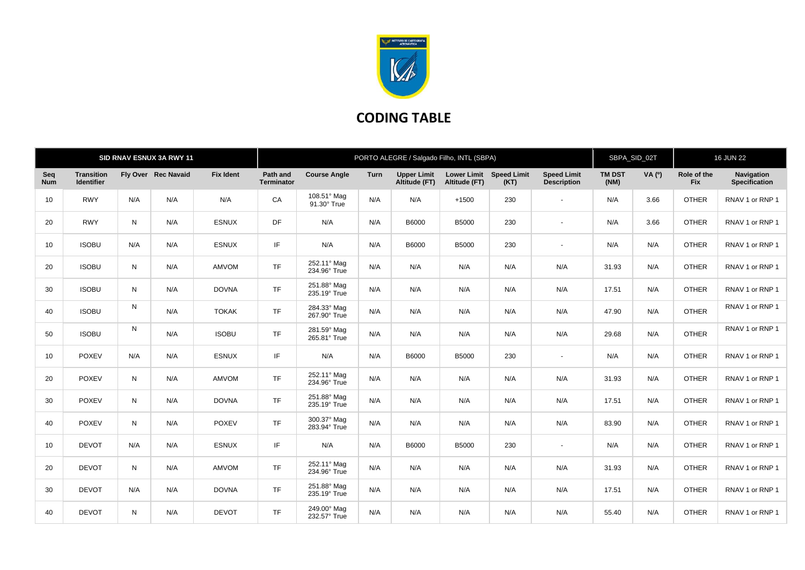

## **CODING TABLE**

| SID RNAV ESNUX 3A RWY 11 |                                        |     |                     | PORTO ALEGRE / Salgado Filho, INTL (SBPA) |                               |                             |             |                                     |                                          | SBPA_SID_02T<br><b>16 JUN 22</b> |                                          |                       |               |                           |                             |
|--------------------------|----------------------------------------|-----|---------------------|-------------------------------------------|-------------------------------|-----------------------------|-------------|-------------------------------------|------------------------------------------|----------------------------------|------------------------------------------|-----------------------|---------------|---------------------------|-----------------------------|
| Seq<br><b>Num</b>        | <b>Transition</b><br><b>Identifier</b> |     | Fly Over Rec Navaid | <b>Fix Ident</b>                          | Path and<br><b>Terminator</b> | <b>Course Angle</b>         | <b>Turn</b> | <b>Upper Limit</b><br>Altitude (FT) | Lower Limit Speed Limit<br>Altitude (FT) | (KT)                             | <b>Speed Limit</b><br><b>Description</b> | <b>TM DST</b><br>(NM) | <b>VA</b> (°) | Role of the<br><b>Fix</b> | Navigation<br>Specification |
| 10                       | <b>RWY</b>                             | N/A | N/A                 | N/A                                       | CA                            | 108.51° Mag<br>91.30° True  | N/A         | N/A                                 | $+1500$                                  | 230                              | $\sim$                                   | N/A                   | 3.66          | <b>OTHER</b>              | RNAV 1 or RNP 1             |
| 20                       | <b>RWY</b>                             | N   | N/A                 | <b>ESNUX</b>                              | DF                            | N/A                         | N/A         | B6000                               | <b>B5000</b>                             | 230                              | $\sim$                                   | N/A                   | 3.66          | <b>OTHER</b>              | RNAV 1 or RNP 1             |
| 10                       | <b>ISOBU</b>                           | N/A | N/A                 | <b>ESNUX</b>                              | IF                            | N/A                         | N/A         | B6000                               | <b>B5000</b>                             | 230                              | $\sim$                                   | N/A                   | N/A           | <b>OTHER</b>              | RNAV 1 or RNP 1             |
| 20                       | <b>ISOBU</b>                           | N   | N/A                 | <b>AMVOM</b>                              | <b>TF</b>                     | 252.11° Mag<br>234.96° True | N/A         | N/A                                 | N/A                                      | N/A                              | N/A                                      | 31.93                 | N/A           | <b>OTHER</b>              | RNAV 1 or RNP 1             |
| 30                       | <b>ISOBU</b>                           | N   | N/A                 | <b>DOVNA</b>                              | <b>TF</b>                     | 251.88° Mag<br>235.19° True | N/A         | N/A                                 | N/A                                      | N/A                              | N/A                                      | 17.51                 | N/A           | <b>OTHER</b>              | RNAV 1 or RNP 1             |
| 40                       | <b>ISOBU</b>                           | N   | N/A                 | <b>TOKAK</b>                              | <b>TF</b>                     | 284.33° Mag<br>267.90° True | N/A         | N/A                                 | N/A                                      | N/A                              | N/A                                      | 47.90                 | N/A           | <b>OTHER</b>              | RNAV 1 or RNP 1             |
| 50                       | <b>ISOBU</b>                           | N   | N/A                 | <b>ISOBU</b>                              | <b>TF</b>                     | 281.59° Mag<br>265.81° True | N/A         | N/A                                 | N/A                                      | N/A                              | N/A                                      | 29.68                 | N/A           | <b>OTHER</b>              | RNAV 1 or RNP 1             |
| 10                       | <b>POXEV</b>                           | N/A | N/A                 | <b>ESNUX</b>                              | IF                            | N/A                         | N/A         | B6000                               | <b>B5000</b>                             | 230                              | $\sim$                                   | N/A                   | N/A           | <b>OTHER</b>              | RNAV 1 or RNP 1             |
| 20                       | <b>POXEV</b>                           | N   | N/A                 | AMVOM                                     | <b>TF</b>                     | 252.11° Mag<br>234.96° True | N/A         | N/A                                 | N/A                                      | N/A                              | N/A                                      | 31.93                 | N/A           | <b>OTHER</b>              | RNAV 1 or RNP 1             |
| 30                       | <b>POXEV</b>                           | N   | N/A                 | <b>DOVNA</b>                              | <b>TF</b>                     | 251.88° Mag<br>235.19° True | N/A         | N/A                                 | N/A                                      | N/A                              | N/A                                      | 17.51                 | N/A           | <b>OTHER</b>              | RNAV 1 or RNP 1             |
| 40                       | <b>POXEV</b>                           | N   | N/A                 | <b>POXEV</b>                              | <b>TF</b>                     | 300.37° Mag<br>283.94° True | N/A         | N/A                                 | N/A                                      | N/A                              | N/A                                      | 83.90                 | N/A           | <b>OTHER</b>              | RNAV 1 or RNP 1             |
| 10                       | <b>DEVOT</b>                           | N/A | N/A                 | <b>ESNUX</b>                              | IF                            | N/A                         | N/A         | B6000                               | <b>B5000</b>                             | 230                              | $\sim$                                   | N/A                   | N/A           | <b>OTHER</b>              | RNAV 1 or RNP 1             |
| 20                       | <b>DEVOT</b>                           | N   | N/A                 | <b>AMVOM</b>                              | <b>TF</b>                     | 252.11° Mag<br>234.96° True | N/A         | N/A                                 | N/A                                      | N/A                              | N/A                                      | 31.93                 | N/A           | <b>OTHER</b>              | RNAV 1 or RNP 1             |
| 30                       | <b>DEVOT</b>                           | N/A | N/A                 | <b>DOVNA</b>                              | <b>TF</b>                     | 251.88° Mag<br>235.19° True | N/A         | N/A                                 | N/A                                      | N/A                              | N/A                                      | 17.51                 | N/A           | <b>OTHER</b>              | RNAV 1 or RNP 1             |
| 40                       | <b>DEVOT</b>                           | N   | N/A                 | <b>DEVOT</b>                              | <b>TF</b>                     | 249.00° Mag<br>232.57° True | N/A         | N/A                                 | N/A                                      | N/A                              | N/A                                      | 55.40                 | N/A           | <b>OTHER</b>              | RNAV 1 or RNP 1             |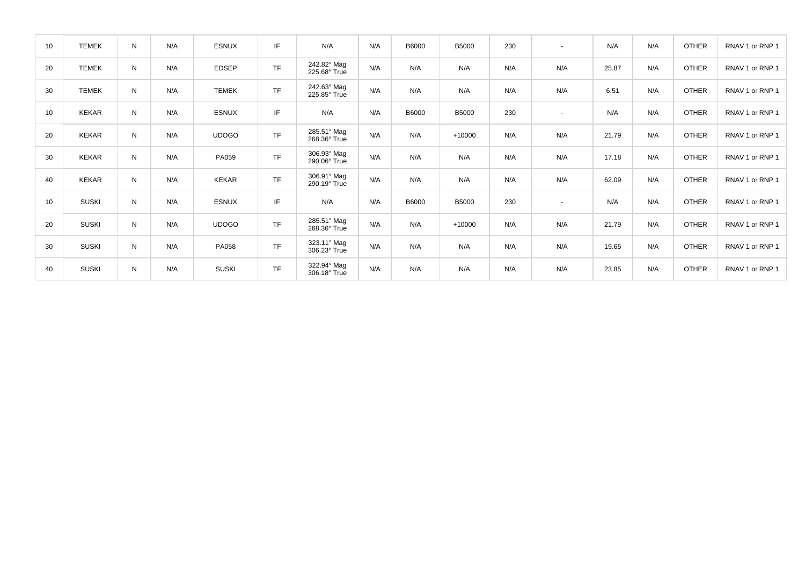| 10 | <b>TEMEK</b> | N | N/A | <b>ESNUX</b> | IF        | N/A                         | N/A | <b>B6000</b> | <b>B5000</b> | 230 | $\overline{\phantom{a}}$ | N/A   | N/A | <b>OTHER</b> | RNAV 1 or RNP 1 |
|----|--------------|---|-----|--------------|-----------|-----------------------------|-----|--------------|--------------|-----|--------------------------|-------|-----|--------------|-----------------|
| 20 | <b>TEMEK</b> | N | N/A | <b>EDSEP</b> | <b>TF</b> | 242.82° Mag<br>225.68° True | N/A | N/A          | N/A          | N/A | N/A                      | 25.87 | N/A | <b>OTHER</b> | RNAV 1 or RNP 1 |
| 30 | <b>TEMEK</b> | N | N/A | <b>TEMEK</b> | <b>TF</b> | 242.63° Mag<br>225.85° True | N/A | N/A          | N/A          | N/A | N/A                      | 6.51  | N/A | <b>OTHER</b> | RNAV 1 or RNP 1 |
| 10 | <b>KEKAR</b> | N | N/A | <b>ESNUX</b> | IF        | N/A                         | N/A | B6000        | <b>B5000</b> | 230 | $\overline{\phantom{a}}$ | N/A   | N/A | <b>OTHER</b> | RNAV 1 or RNP 1 |
| 20 | <b>KEKAR</b> | N | N/A | <b>UDOGO</b> | <b>TF</b> | 285.51° Mag<br>268.36° True | N/A | N/A          | $+10000$     | N/A | N/A                      | 21.79 | N/A | <b>OTHER</b> | RNAV 1 or RNP 1 |
| 30 | <b>KEKAR</b> | N | N/A | PA059        | <b>TF</b> | 306.93° Mag<br>290.06° True | N/A | N/A          | N/A          | N/A | N/A                      | 17.18 | N/A | <b>OTHER</b> | RNAV 1 or RNP 1 |
| 40 | KEKAR        | N | N/A | <b>KEKAR</b> | <b>TF</b> | 306.91° Mag<br>290.19° True | N/A | N/A          | N/A          | N/A | N/A                      | 62.09 | N/A | <b>OTHER</b> | RNAV 1 or RNP 1 |
| 10 | <b>SUSKI</b> | N | N/A | <b>ESNUX</b> | IF        | N/A                         | N/A | B6000        | <b>B5000</b> | 230 | $\overline{\phantom{a}}$ | N/A   | N/A | <b>OTHER</b> | RNAV 1 or RNP 1 |
| 20 | <b>SUSKI</b> | N | N/A | <b>UDOGO</b> | <b>TF</b> | 285.51° Mag<br>268.36° True | N/A | N/A          | $+10000$     | N/A | N/A                      | 21.79 | N/A | <b>OTHER</b> | RNAV 1 or RNP 1 |
| 30 | <b>SUSKI</b> | N | N/A | PA058        | <b>TF</b> | 323.11° Mag<br>306.23° True | N/A | N/A          | N/A          | N/A | N/A                      | 19.65 | N/A | <b>OTHER</b> | RNAV 1 or RNP 1 |
| 40 | <b>SUSKI</b> | N | N/A | <b>SUSKI</b> | <b>TF</b> | 322.94° Mag<br>306.18° True | N/A | N/A          | N/A          | N/A | N/A                      | 23.85 | N/A | <b>OTHER</b> | RNAV 1 or RNP 1 |